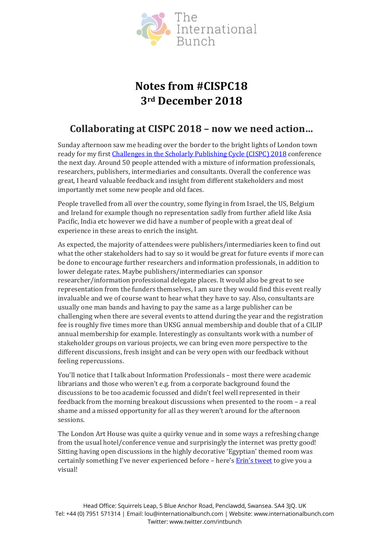

# **Notes from #CISPC18 3rd December 2018**

# **Collaborating at CISPC 2018 – now we need action…**

Sunday afternoon saw me heading over the border to the bright lights of London town ready for my first Challenges [in the Scholarly Publishing Cycle \(CISPC\) 2018](https://contechlive.com/challenges-in-the-scholarly-publishing-cycle-2018/) conference the next day. Around 50 people attended with a mixture of information professionals, researchers, publishers, intermediaries and consultants. Overall the conference was great, I heard valuable feedback and insight from different stakeholders and most importantly met some new people and old faces.

People travelled from all over the country, some flying in from Israel, the US, Belgium and Ireland for example though no representation sadly from further afield like Asia Pacific, India etc however we did have a number of people with a great deal of experience in these areas to enrich the insight.

As expected, the majority of attendees were publishers/intermediaries keen to find out what the other stakeholders had to say so it would be great for future events if more can be done to encourage further researchers and information professionals, in addition to lower delegate rates. Maybe publishers/intermediaries can sponsor researcher/information professional delegate places. It would also be great to see representation from the funders themselves, I am sure they would find this event really invaluable and we of course want to hear what they have to say. Also, consultants are usually one man bands and having to pay the same as a large publisher can be challenging when there are several events to attend during the year and the registration fee is roughly five times more than UKSG annual membership and double that of a CILIP annual membership for example. Interestingly as consultants work with a number of stakeholder groups on various projects, we can bring even more perspective to the different discussions, fresh insight and can be very open with our feedback without feeling repercussions.

You'll notice that I talk about Information Professionals – most there were academic librarians and those who weren't e.g. from a corporate background found the discussions to be too academic focussed and didn't feel well represented in their feedback from the morning breakout discussions when presented to the room – a real shame and a missed opportunity for all as they weren't around for the afternoon sessions.

The London Art House was quite a quirky venue and in some ways a refreshing change from the usual hotel/conference venue and surprisingly the internet was pretty good! Sitting having open discussions in the highly decorative 'Egyptian' themed room was certainly something I've never experienced before – here'[s Erin's tweet](https://twitter.com/EKOsborneMartin/status/1069601666297720840) to give you a visual!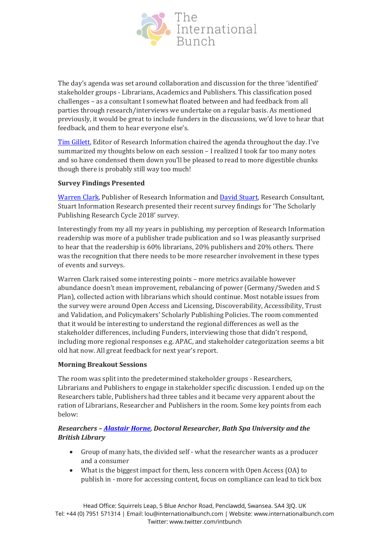

The day's agenda was set around collaboration and discussion for the three 'identified' stakeholder groups - Librarians, Academics and Publishers. This classification posed challenges – as a consultant I somewhat floated between and had feedback from all parties through research/interviews we undertake on a regular basis. As mentioned previously, it would be great to include funders in the discussions, we'd love to hear that feedback, and them to hear everyone else's.

[Tim Gillett,](https://www.linkedin.com/in/tim-gillett-35517042/) Editor of Research Information chaired the agenda throughout the day. I've summarized my thoughts below on each session – I realized I took far too many notes and so have condensed them down you'll be pleased to read to more digestible chunks though there is probably still way too much!

### **Survey Findings Presented**

[Warren Clark,](https://www.linkedin.com/in/warren-clark-291623/) Publisher of Research Information and [David Stuart,](https://www.linkedin.com/in/dpstuart/) Research Consultant, Stuart Information Research presented their recent survey findings for 'The Scholarly Publishing Research Cycle 2018' survey.

Interestingly from my all my years in publishing, my perception of Research Information readership was more of a publisher trade publication and so I was pleasantly surprised to hear that the readership is 60% librarians, 20% publishers and 20% others. There was the recognition that there needs to be more researcher involvement in these types of events and surveys.

Warren Clark raised some interesting points – more metrics available however abundance doesn't mean improvement, rebalancing of power (Germany/Sweden and S Plan), collected action with librarians which should continue. Most notable issues from the survey were around Open Access and Licensing, Discoverability, Accessibility, Trust and Validation, and Policymakers' Scholarly Publishing Policies. The room commented that it would be interesting to understand the regional differences as well as the stakeholder differences, including Funders, interviewing those that didn't respond, including more regional responses e.g. APAC, and stakeholder categorization seems a bit old hat now. All great feedback for next year's report.

### **Morning Breakout Sessions**

The room was split into the predetermined stakeholder groups - Researchers, Librarians and Publishers to engage in stakeholder specific discussion. I ended up on the Researchers table, Publishers had three tables and it became very apparent about the ration of Librarians, Researcher and Publishers in the room. Some key points from each below:

# *Researchers – [Alastair Horne,](https://twitter.com/pressfuturist) Doctoral Researcher, Bath Spa University and the British Library*

- Group of many hats, the divided self what the researcher wants as a producer and a consumer
- What is the biggest impact for them, less concern with Open Access (OA) to publish in - more for accessing content, focus on compliance can lead to tick box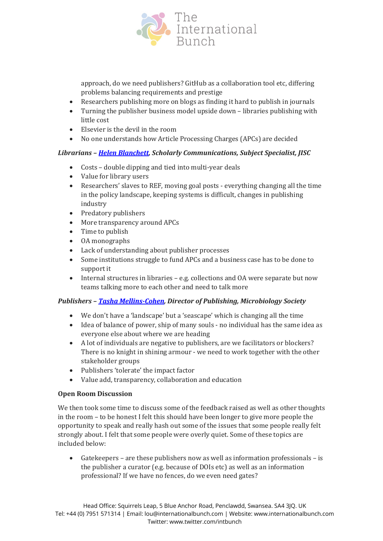

approach, do we need publishers? GitHub as a collaboration tool etc, differing problems balancing requirements and prestige

- Researchers publishing more on blogs as finding it hard to publish in journals<br>• Turning the publisher business model unside down libraries publishing with
- Turning the publisher business model upside down libraries publishing with little cost
- Elsevier is the devil in the room
- No one understands how Article Processing Charges (APCs) are decided

# *Librarians – [Helen Blanchett,](https://twitter.com/hblanchett) Scholarly Communications, Subject Specialist, JISC*

- Costs double dipping and tied into multi-year deals
- Value for library users
- Researchers' slaves to REF, moving goal posts everything changing all the time in the policy landscape, keeping systems is difficult, changes in publishing industry
- Predatory publishers
- More transparency around APCs
- Time to publish
- OA monographs
- Lack of understanding about publisher processes
- Some institutions struggle to fund APCs and a business case has to be done to support it
- Internal structures in libraries e.g. collections and OA were separate but now teams talking more to each other and need to talk more

### *Publishers – [Tasha Mellins-Cohen,](https://twitter.com/TashaMellCoh) Director of Publishing, Microbiology Society*

- We don't have a 'landscape' but a 'seascape' which is changing all the time
- Idea of balance of power, ship of many souls no individual has the same idea as everyone else about where we are heading
- A lot of individuals are negative to publishers, are we facilitators or blockers? There is no knight in shining armour - we need to work together with the other stakeholder groups
- Publishers 'tolerate' the impact factor
- Value add, transparency, collaboration and education

### **Open Room Discussion**

We then took some time to discuss some of the feedback raised as well as other thoughts in the room – to be honest I felt this should have been longer to give more people the opportunity to speak and really hash out some of the issues that some people really felt strongly about. I felt that some people were overly quiet. Some of these topics are included below:

• Gatekeepers – are these publishers now as well as information professionals – is the publisher a curator (e.g. because of DOIs etc) as well as an information professional? If we have no fences, do we even need gates?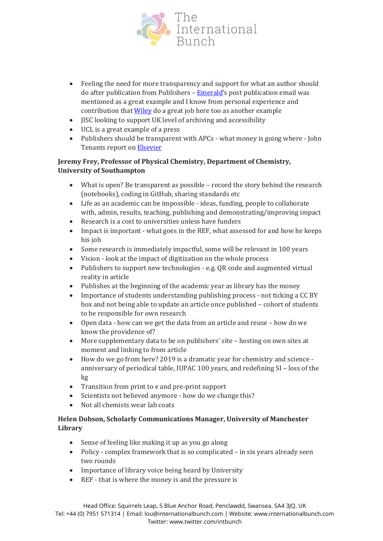

- Feeling the need for more transparency and support for what an author should do after publication from Publishers – [Emerald'](http://www.emeraldgrouppublishing.com/authors/index.htm)s post publication email was mentioned as a great example and I know from personal experience and contribution tha[t Wiley](https://authorservices.wiley.com/author-resources/Journal-Authors/Promotion/index.html) do a great job here too as another example
- JISC looking to support UK level of archiving and accessibility
- UCL is a great example of a press
- Publishers should be transparent with APCs what money is going where John Tenants report o[n Elsevier](https://www.theguardian.com/science/political-science/2018/jun/29/elsevier-are-corrupting-open-science-in-europe)

# **Jeremy Frey, Professor of Physical Chemistry, Department of Chemistry, University of Southampton**

- What is open? Be transparent as possible record the story behind the research (notebooks), coding in GitHub, sharing standards etc
- Life as an academic can be impossible ideas, funding, people to collaborate with, admin, results, teaching, publishing and demonstrating/improving impact
- Research is a cost to universities unless have funders
- Impact is important what goes in the REF, what assessed for and how he keeps his job
- Some research is immediately impactful, some will be relevant in 100 years
- Vision look at the impact of digitization on the whole process
- Publishers to support new technologies e.g. QR code and augmented virtual reality in article
- Publishes at the beginning of the academic year as library has the money
- Importance of students understanding publishing process not ticking a CC BY box and not being able to update an article once published – cohort of students to be responsible for own research
- Open data how can we get the data from an article and reuse how do we know the providence of?
- More supplementary data to be on publishers' site hosting on own sites at moment and linking to from article
- How do we go from here? 2019 is a dramatic year for chemistry and science anniversary of periodical table, IUPAC 100 years, and redefining SI – loss of the kg
- Transition from print to e and pre-print support
- Scientists not believed anymore how do we change this?
- Not all chemists wear lab coats

# **Helen Dobson, Scholarly Communications Manager, University of Manchester Library**

- Sense of feeling like making it up as you go along
- Policy complex framework that is so complicated in six years already seen two rounds
- Importance of library voice being heard by University
- REF that is where the money is and the pressure is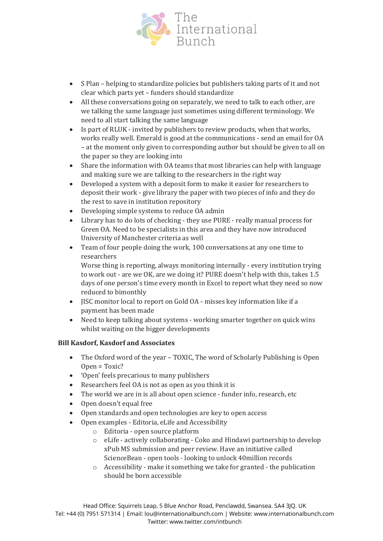

- S Plan helping to standardize policies but publishers taking parts of it and not clear which parts yet – funders should standardize
- All these conversations going on separately, we need to talk to each other, are we talking the same language just sometimes using different terminology. We need to all start talking the same language
- Is part of RLUK invited by publishers to review products, when that works, works really well. Emerald is good at the communications - send an email for OA – at the moment only given to corresponding author but should be given to all on the paper so they are looking into
- Share the information with OA teams that most libraries can help with language and making sure we are talking to the researchers in the right way
- Developed a system with a deposit form to make it easier for researchers to deposit their work - give library the paper with two pieces of info and they do the rest to save in institution repository
- Developing simple systems to reduce OA admin
- Library has to do lots of checking they use PURE really manual process for Green OA. Need to be specialists in this area and they have now introduced University of Manchester criteria as well
- Team of four people doing the work, 100 conversations at any one time to researchers

Worse thing is reporting, always monitoring internally - every institution trying to work out - are we OK, are we doing it? PURE doesn't help with this, takes 1.5 days of one person's time every month in Excel to report what they need so now reduced to bimonthly

- JISC monitor local to report on Gold OA misses key information like if a payment has been made
- Need to keep talking about systems working smarter together on quick wins whilst waiting on the bigger developments

### **Bill Kasdorf, Kasdorf and Associates**

- The Oxford word of the year TOXIC, The word of Scholarly Publishing is Open Open = Toxic?
- 'Open' feels precarious to many publishers
- Researchers feel OA is not as open as you think it is
- The world we are in is all about open science funder info, research, etc
- Open doesn't equal free
- Open standards and open technologies are key to open access
- Open examples Editoria, eLife and Accessibility
	- o Editoria open source platform
	- o eLife actively collaborating Coko and Hindawi partnership to develop xPub MS submission and peer review. Have an initiative called ScienceBean - open tools - looking to unlock 40million records
	- o Accessibility make it something we take for granted the publication should be born accessible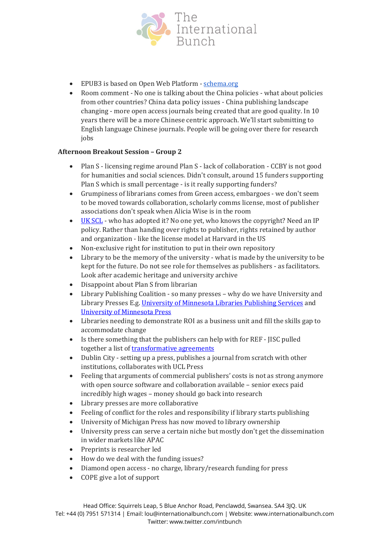

- EPUB3 is based on Open Web Platform [schema.org](http://schema.org/)
- Room comment No one is talking about the China policies what about policies from other countries? China data policy issues - China publishing landscape changing - more open access journals being created that are good quality. In 10 years there will be a more Chinese centric approach. We'll start submitting to English language Chinese journals. People will be going over there for research jobs

### **Afternoon Breakout Session – Group 2**

- Plan S licensing regime around Plan S lack of collaboration CCBY is not good for humanities and social sciences. Didn't consult, around 15 funders supporting Plan S which is small percentage - is it really supporting funders?
- Grumpiness of librarians comes from Green access, embargoes we don't seem to be moved towards collaboration, scholarly comms license, most of publisher associations don't speak when Alicia Wise is in the room
- UK [SCL](https://zenodo.org/record/375830#.XAe9oGj7SUm) who has adopted it? No one yet, who knows the copyright? Need an IP policy. Rather than handing over rights to publisher, rights retained by author and organization - like the license model at Harvard in the US
- Non-exclusive right for institution to put in their own repository
- Library to be the memory of the university what is made by the university to be kept for the future. Do not see role for themselves as publishers - as facilitators. Look after academic heritage and university archive
- Disappoint about Plan S from librarian
- Library Publishing Coalition so many presses why do we have University and Library Presses E.g. [University of Minnesota Libraries Publishing Services](https://www.lib.umn.edu/publishing) and [University of Minnesota Press](https://www.upress.umn.edu/)
- Libraries needing to demonstrate ROI as a business unit and fill the skills gap to accommodate change
- Is there something that the publishers can help with for REF JISC pulled together a list of [transformative agreements](https://www.jisc.ac.uk/news/jisc-welcomes-move-to-make-science-research-free-by-2020-04-sep-2018)
- Dublin City setting up a press, publishes a journal from scratch with other institutions, collaborates with UCL Press
- Feeling that arguments of commercial publishers' costs is not as strong anymore with open source software and collaboration available – senior execs paid incredibly high wages – money should go back into research
- Library presses are more collaborative
- Feeling of conflict for the roles and responsibility if library starts publishing
- University of Michigan Press has now moved to library ownership
- University press can serve a certain niche but mostly don't get the dissemination in wider markets like APAC
- Preprints is researcher led
- How do we deal with the funding issues?
- Diamond open access no charge, library/research funding for press
- COPE give a lot of support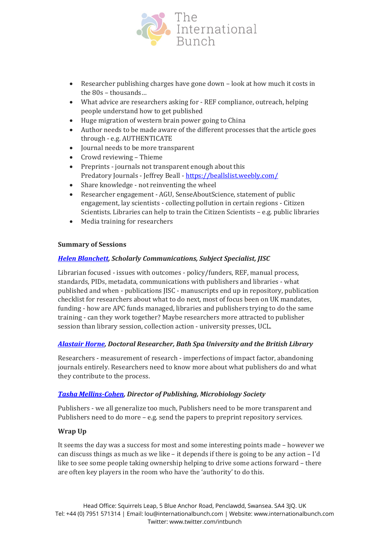

- Researcher publishing charges have gone down look at how much it costs in the 80s – thousands…
- What advice are researchers asking for REF compliance, outreach, helping people understand how to get published
- Huge migration of western brain power going to China
- Author needs to be made aware of the different processes that the article goes through - e.g. AUTHENTICATE
- Journal needs to be more transparent
- Crowd reviewing Thieme
- Preprints journals not transparent enough about this Predatory Journals - Jeffrey Beall - <https://beallslist.weebly.com/>
- Share knowledge not reinventing the wheel
- Researcher engagement AGU, SenseAboutScience, statement of public engagement, lay scientists - collecting pollution in certain regions - Citizen Scientists. Libraries can help to train the Citizen Scientists – e.g. public libraries
- Media training for researchers

#### **Summary of Sessions**

#### *[Helen Blanchett,](https://twitter.com/hblanchett) Scholarly Communications, Subject Specialist, JISC*

Librarian focused - issues with outcomes - policy/funders, REF, manual process, standards, PIDs, metadata, communications with publishers and libraries - what published and when - publications JISC - manuscripts end up in repository, publication checklist for researchers about what to do next, most of focus been on UK mandates, funding - how are APC funds managed, libraries and publishers trying to do the same training - can they work together? Maybe researchers more attracted to publisher session than library session, collection action - university presses, UCL.

#### *[Alastair Horne,](https://twitter.com/pressfuturist) Doctoral Researcher, Bath Spa University and the British Library*

Researchers - measurement of research - imperfections of impact factor, abandoning journals entirely. Researchers need to know more about what publishers do and what they contribute to the process.

#### *[Tasha Mellins-Cohen,](https://twitter.com/TashaMellCoh) Director of Publishing, Microbiology Society*

Publishers - we all generalize too much, Publishers need to be more transparent and Publishers need to do more – e.g. send the papers to preprint repository services.

#### **Wrap Up**

It seems the day was a success for most and some interesting points made – however we can discuss things as much as we like – it depends if there is going to be any action – I'd like to see some people taking ownership helping to drive some actions forward – there are often key players in the room who have the 'authority' to do this.